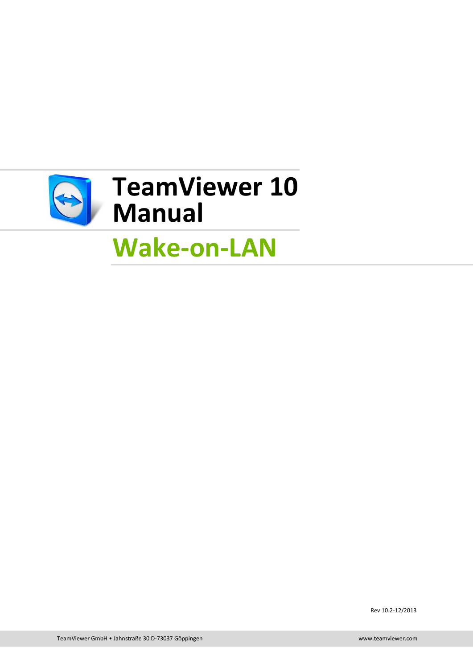

# **Wake-on-LAN**

Rev 10.2-12/2013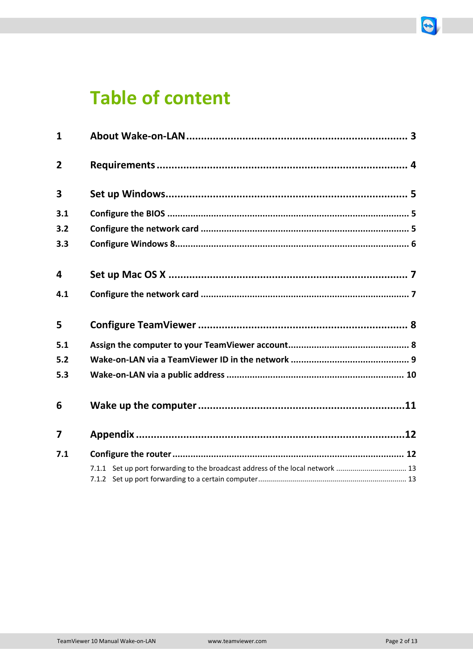# **Table of content**

| $\mathbf{1}$            |                                                                                |  |
|-------------------------|--------------------------------------------------------------------------------|--|
| $\overline{2}$          |                                                                                |  |
| 3                       |                                                                                |  |
| 3.1                     |                                                                                |  |
| 3.2                     |                                                                                |  |
| 3.3                     |                                                                                |  |
| 4                       |                                                                                |  |
| 4.1                     |                                                                                |  |
| 5                       |                                                                                |  |
| 5.1                     |                                                                                |  |
| 5.2                     |                                                                                |  |
| 5.3                     |                                                                                |  |
| 6                       |                                                                                |  |
| $\overline{\mathbf{z}}$ |                                                                                |  |
| 7.1                     |                                                                                |  |
|                         | 7.1.1 Set up port forwarding to the broadcast address of the local network  13 |  |

 $\bigcirc$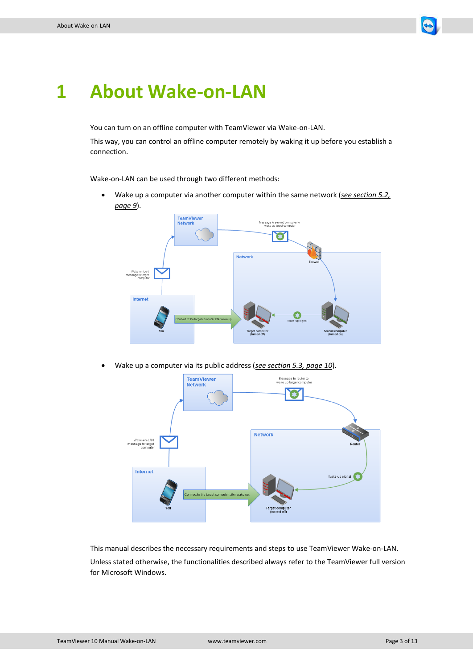

### <span id="page-2-0"></span>**1 About Wake-on-LAN**

You can turn on an offline computer with TeamViewer via Wake-on-LAN.

This way, you can control an offline computer remotely by waking it up before you establish a connection.

Wake-on-LAN can be used through two different methods:

 Wake up a computer via another computer within the same network (*see section [5.2,](#page-8-0) page [9](#page-8-0)*).



Wake up a computer via its public address (*see section [5.3,](#page-9-0) page [10](#page-9-0)*).



This manual describes the necessary requirements and steps to use TeamViewer Wake-on-LAN. Unless stated otherwise, the functionalities described always refer to the TeamViewer full version for Microsoft Windows.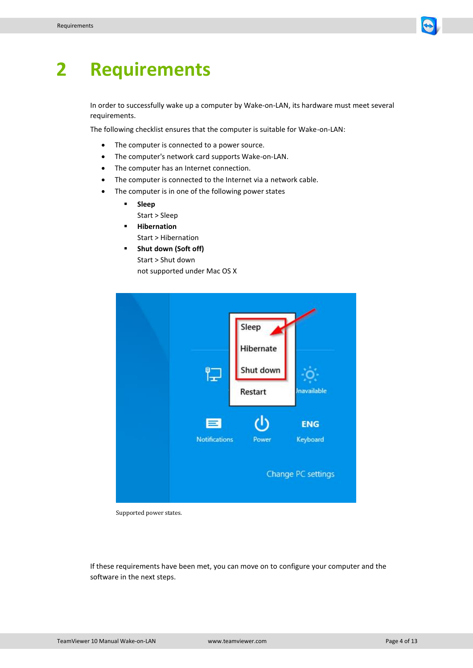

# <span id="page-3-0"></span>**2 Requirements**

In order to successfully wake up a computer by Wake-on-LAN, its hardware must meet several requirements.

The following checklist ensures that the computer is suitable for Wake-on-LAN:

- The computer is connected to a power source.
- The computer's network card supports Wake-on-LAN.
- The computer has an Internet connection.
- The computer is connected to the Internet via a network cable.
	- The computer is in one of the following power states
		- **Sleep** Start > Sleep
		- **Hibernation** Start > Hibernation
		- **F** Shut down (Soft off) Start > Shut down not supported under Mac OS X

| ๆ−<br> −                  | Sleep<br>Hibernate<br>Shut down<br>Restart | <b>Jnavailable</b>                           |
|---------------------------|--------------------------------------------|----------------------------------------------|
| Е<br><b>Notifications</b> | Power                                      | <b>ENG</b><br>Keyboard<br>Change PC settings |

Supported power states.

If these requirements have been met, you can move on to configure your computer and the software in the next steps.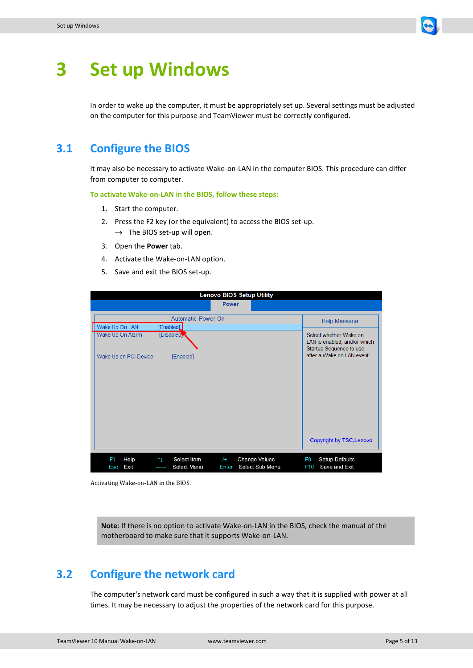

## <span id="page-4-0"></span>**3 Set up Windows**

In order to wake up the computer, it must be appropriately set up. Several settings must be adjusted on the computer for this purpose and TeamViewer must be correctly configured.

### <span id="page-4-1"></span>**3.1 Configure the BIOS**

It may also be necessary to activate Wake-on-LAN in the computer BIOS. This procedure can differ from computer to computer.

**To activate Wake-on-LAN in the BIOS, follow these steps:**

- 1. Start the computer.
- 2. Press the F2 key (or the equivalent) to access the BIOS set-up.  $\rightarrow$  The BIOS set-up will open.
- 3. Open the **Power** tab.
- 4. Activate the Wake-on-LAN option.
- 5. Save and exit the BIOS set-up.

| <b>Lenovo BIOS Setup Utility</b>   |                                                                  |                                                           |                       |                                                                                   |
|------------------------------------|------------------------------------------------------------------|-----------------------------------------------------------|-----------------------|-----------------------------------------------------------------------------------|
|                                    |                                                                  | <b>Power</b>                                              |                       |                                                                                   |
|                                    | <b>Automatic Power On</b>                                        |                                                           |                       | <b>Help Message</b>                                                               |
| Wake Up On LAN<br>Wake Up On Alarm | [Enabled]<br>[Disabled]                                          |                                                           |                       | Select whether Wake on<br>LAN is enabled, and/or which<br>Startup Sequence to use |
| Wake Up on PCI Device              | [Enabled]                                                        |                                                           |                       | after a Wake on LAN event.                                                        |
|                                    |                                                                  |                                                           |                       |                                                                                   |
|                                    |                                                                  |                                                           |                       | <b>Copyright by TSC, Lenovo</b>                                                   |
| F1<br>Help<br>Exit<br>Esc          | Select Item<br>11<br><b>Select Menu</b><br>$\longleftrightarrow$ | <b>Change Values</b><br>$-/+$<br>Select Sub Menu<br>Enter | F9<br>F <sub>10</sub> | Setup Defaults<br>Save and Exit                                                   |

Activating Wake-on-LAN in the BIOS.

**Note**: If there is no option to activate Wake-on-LAN in the BIOS, check the manual of the motherboard to make sure that it supports Wake-on-LAN.

### <span id="page-4-2"></span>**3.2 Configure the network card**

The computer's network card must be configured in such a way that it is supplied with power at all times. It may be necessary to adjust the properties of the network card for this purpose.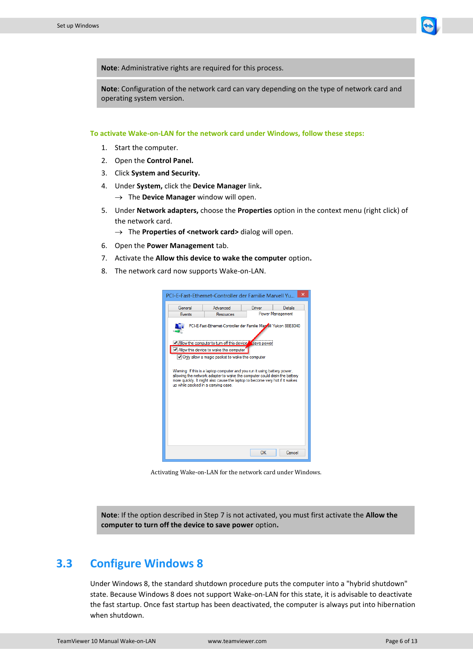

**Note**: Administrative rights are required for this process.

**Note**: Configuration of the network card can vary depending on the type of network card and operating system version.

**To activate Wake-on-LAN for the network card under Windows, follow these steps:**

- 1. Start the computer.
- 2. Open the **Control Panel.**
- 3. Click **System and Security.**
- 4. Under **System,** click the **Device Manager** link**.**
	- $\rightarrow$  The **Device Manager** window will open.
- 5. Under **Network adapters,** choose the **Properties** option in the context menu (right click) of the network card.
	- $\rightarrow$  The **Properties of <network card>** dialog will open.
- 6. Open the **Power Management** tab.
- <span id="page-5-1"></span>7. Activate the **Allow this device to wake the computer** option**.**
- 8. The network card now supports Wake-on-LAN.

|                                    | PCI-E-Fast-Ethernet-Controller der Familie Marvell Yu                                                                                                                                                                                                                                                                                                                                                                                                         |        | ×       |  |  |  |
|------------------------------------|---------------------------------------------------------------------------------------------------------------------------------------------------------------------------------------------------------------------------------------------------------------------------------------------------------------------------------------------------------------------------------------------------------------------------------------------------------------|--------|---------|--|--|--|
| General                            | Advanced                                                                                                                                                                                                                                                                                                                                                                                                                                                      | Driver | Details |  |  |  |
| <b>Fvents</b>                      | <b>Power Management</b><br>Resources                                                                                                                                                                                                                                                                                                                                                                                                                          |        |         |  |  |  |
| up while packed in a canving case. | PCI-E-Fast-Ethemet-Controller der Familie Man ell Yukon 88E8040<br>V Allow the computer to tum off this device save power<br>Allow this device to wake the computer<br>Only allow a magic packet to wake the computer<br>Waming: If this is a laptop computer and you run it using battery power.<br>allowing the network adapter to wake the computer could drain the battery<br>more quickly. It might also cause the laptop to become very hot if it wakes |        |         |  |  |  |
|                                    | OK<br>Cancel                                                                                                                                                                                                                                                                                                                                                                                                                                                  |        |         |  |  |  |

Activating Wake-on-LAN for the network card under Windows.

**Note**: If the option described in Ste[p 7](#page-5-1) is not activated, you must first activate the **Allow the computer to turn off the device to save power** option**.**

### <span id="page-5-0"></span>**3.3 Configure Windows 8**

Under Windows 8, the standard shutdown procedure puts the computer into a "hybrid shutdown" state. Because Windows 8 does not support Wake-on-LAN for this state, it is advisable to deactivate the fast startup. Once fast startup has been deactivated, the computer is always put into hibernation when shutdown.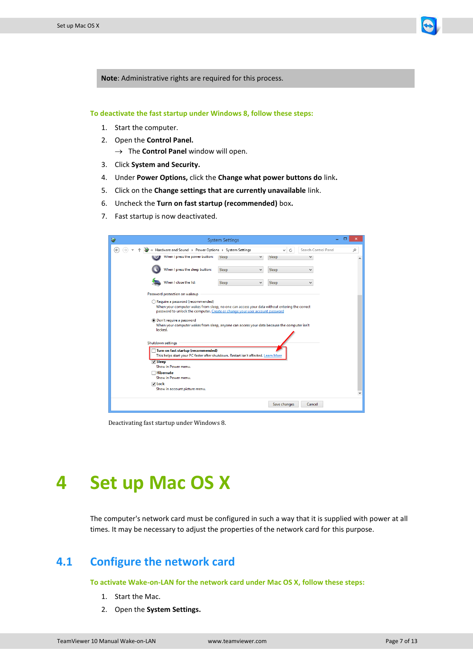

**To deactivate the fast startup under Windows 8, follow these steps:**

- 1. Start the computer.
- 2. Open the **Control Panel.**
	- → The **Control Panel** window will open.
- 3. Click **System and Security.**
- 4. Under **Power Options,** click the **Change what power buttons do** link**.**
- 5. Click on the **Change settings that are currently unavailable** link.
- 6. Uncheck the **Turn on fast startup (recommended)** box**.**
- 7. Fast startup is now deactivated.

| 暑                                                                                                                                                                                                                 | <b>System Settings</b> |              |                                | $\boldsymbol{\mathsf{x}}$ |
|-------------------------------------------------------------------------------------------------------------------------------------------------------------------------------------------------------------------|------------------------|--------------|--------------------------------|---------------------------|
| « Hardware and Sound » Power Options » System Settings                                                                                                                                                            |                        |              | Search Control Panel<br>v<br>Ċ | م                         |
| When I press the power button:                                                                                                                                                                                    | Sleep                  | v            | Sleep                          | Α                         |
| When I press the sleep button:                                                                                                                                                                                    | Sleep                  | v            | Sleep<br>v                     |                           |
| When I close the lid:                                                                                                                                                                                             | Sleep                  | $\checkmark$ | Sleep<br>v                     |                           |
| Password protection on wakeup                                                                                                                                                                                     |                        |              |                                |                           |
| Require a password (recommended)<br>When your computer wakes from sleep, no one can access your data without entering the correct<br>password to unlock the computer. Create or change your user account password |                        |              |                                |                           |
| . Don't require a password<br>When your computer wakes from sleep, anyone can access your data because the computer isn't<br>locked.                                                                              |                        |              |                                |                           |
| Shutdown settings                                                                                                                                                                                                 |                        |              |                                |                           |
| Turn on fast startup (recommended)<br>This helps start your PC faster after shutdown. Restart isn't affected. Learn More                                                                                          |                        |              |                                |                           |
| $\sqrt{}$ Sleep<br>Show in Power menu.                                                                                                                                                                            |                        |              |                                |                           |
| <b>Hibernate</b>                                                                                                                                                                                                  |                        |              |                                |                           |
| Show in Power menu.                                                                                                                                                                                               |                        |              |                                |                           |
| V Lock<br>Show in account picture menu.                                                                                                                                                                           |                        |              |                                |                           |
|                                                                                                                                                                                                                   |                        |              |                                | ٧                         |
|                                                                                                                                                                                                                   |                        |              | Save changes<br>Cancel         |                           |

Deactivating fast startup under Windows 8.

### <span id="page-6-0"></span>**4 Set up Mac OS X**

The computer's network card must be configured in such a way that it is supplied with power at all times. It may be necessary to adjust the properties of the network card for this purpose.

#### <span id="page-6-1"></span>**4.1 Configure the network card**

**To activate Wake-on-LAN for the network card under Mac OS X, follow these steps:**

- 1. Start the Mac.
- 2. Open the **System Settings.**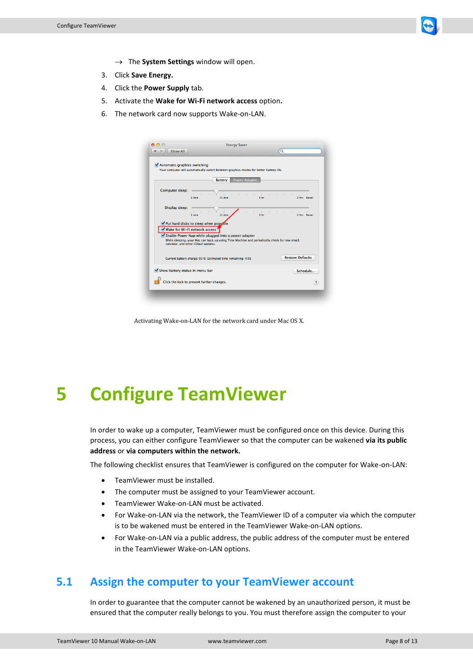

- → The **System Settings** window will open.
- 3. Click **Save Energy.**
- 4. Click the **Power Supply** tab.
- 5. Activate the **Wake for Wi-Fi network access** option**.**
- 6. The network card now supports Wake-on-LAN.

|                                                                                      |                                                                                               |                            | Your computer will automatically switch between graphics modes for better battery life. |                                   |                          |                         |             |
|--------------------------------------------------------------------------------------|-----------------------------------------------------------------------------------------------|----------------------------|-----------------------------------------------------------------------------------------|-----------------------------------|--------------------------|-------------------------|-------------|
| Computer sleep:                                                                      | 1 min                                                                                         | <b>Battery</b><br>$15$ min | Power Adapter<br><b>All Control</b>                                                     | $\mathbb{R}^n$<br>1 <sub>hr</sub> | <b>Contract Contract</b> | $\pm 1$                 | 3 hrs Never |
| Display sleep:                                                                       | 1 min                                                                                         | $15 \text{ min}$           |                                                                                         | 1 <sub>hr</sub>                   | $\sim$                   | $\mathbf{L}$            | 3 hrs Never |
| Wake for Wi-Fi network access<br>Enable Power Nap while plugged into a power adapter | While sleeping, your Mac can back up using Time Machine and periodically check for new email, |                            |                                                                                         |                                   |                          |                         |             |
| calendar, and other iCloud updates                                                   |                                                                                               |                            |                                                                                         |                                   |                          |                         |             |
|                                                                                      | Current battery charge: 92 % Estimated time remaining: 4:56                                   |                            |                                                                                         |                                   |                          | <b>Restore Defaults</b> |             |

Activating Wake-on-LAN for the network card under Mac OS X.

### <span id="page-7-0"></span>**5 Configure TeamViewer**

In order to wake up a computer, TeamViewer must be configured once on this device. During this process, you can either configure TeamViewer so that the computer can be wakened **via its public address** or **via computers within the network.**

The following checklist ensures that TeamViewer is configured on the computer for Wake-on-LAN:

- TeamViewer must be installed.
- The computer must be assigned to your TeamViewer account.
- TeamViewer Wake-on-LAN must be activated.
- For Wake-on-LAN via the network, the TeamViewer ID of a computer via which the computer is to be wakened must be entered in the TeamViewer Wake-on-LAN options.
- For Wake-on-LAN via a public address, the public address of the computer must be entered in the TeamViewer Wake-on-LAN options.

#### <span id="page-7-1"></span>**5.1 Assign the computer to your TeamViewer account**

In order to guarantee that the computer cannot be wakened by an unauthorized person, it must be ensured that the computer really belongs to you. You must therefore assign the computer to your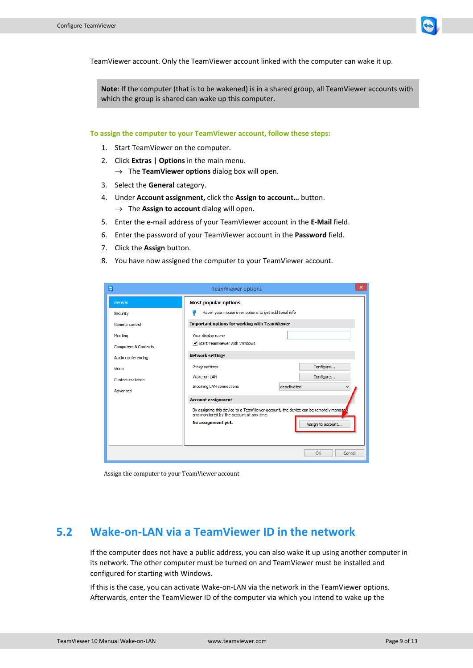

TeamViewer account. Only the TeamViewer account linked with the computer can wake it up.

**Note**: If the computer (that is to be wakened) is in a shared group, all TeamViewer accounts with which the group is shared can wake up this computer.

**To assign the computer to your TeamViewer account, follow these steps:**

- 1. Start TeamViewer on the computer.
- 2. Click **Extras | Options** in the main menu.
	- $\rightarrow$  The **TeamViewer options** dialog box will open.
- 3. Select the **General** category.
- 4. Under **Account assignment,** click the **Assign to account…** button.  $\rightarrow$  The Assign to account dialog will open.
- 5. Enter the e-mail address of your TeamViewer account in the **E-Mail** field.
- 6. Enter the password of your TeamViewer account in the **Password** field.
- 7. Click the **Assign** button.
- 8. You have now assigned the computer to your TeamViewer account.

| o                               | <b>TeamViewer options</b>                                                                                                        | ×                           |  |  |
|---------------------------------|----------------------------------------------------------------------------------------------------------------------------------|-----------------------------|--|--|
| General                         | <b>Most popular options</b>                                                                                                      |                             |  |  |
| Security                        | Hover your mouse over options to get additional info                                                                             |                             |  |  |
| Remote control                  | <b>Important options for working with TeamViewer</b>                                                                             |                             |  |  |
| Meeting                         | Your display name                                                                                                                |                             |  |  |
| <b>Computers &amp; Contacts</b> | Start TeamViewer with Windows                                                                                                    |                             |  |  |
| Audio conferencing              | <b>Network settings</b>                                                                                                          |                             |  |  |
| Video                           | Proxy settings                                                                                                                   | Configure                   |  |  |
| Custom invitation               | Wake-on-LAN                                                                                                                      | Configure                   |  |  |
| Advanced                        | <b>Incoming LAN connections</b>                                                                                                  | deactivated<br>$\checkmark$ |  |  |
|                                 | <b>Account assignment</b>                                                                                                        |                             |  |  |
|                                 | By assigning this device to a TeamViewer account, the device can be remotely manage<br>and monitored by the account at any time. |                             |  |  |
|                                 | No assignment yet.                                                                                                               | Assign to account           |  |  |
|                                 |                                                                                                                                  |                             |  |  |
|                                 |                                                                                                                                  | OK<br>Cancel                |  |  |

Assign the computer to your TeamViewer account

#### <span id="page-8-0"></span>**5.2 Wake-on-LAN via a TeamViewer ID in the network**

If the computer does not have a public address, you can also wake it up using another computer in its network. The other computer must be turned on and TeamViewer must be installed and configured for starting with Windows.

If this is the case, you can activate Wake-on-LAN via the network in the TeamViewer options. Afterwards, enter the TeamViewer ID of the computer via which you intend to wake up the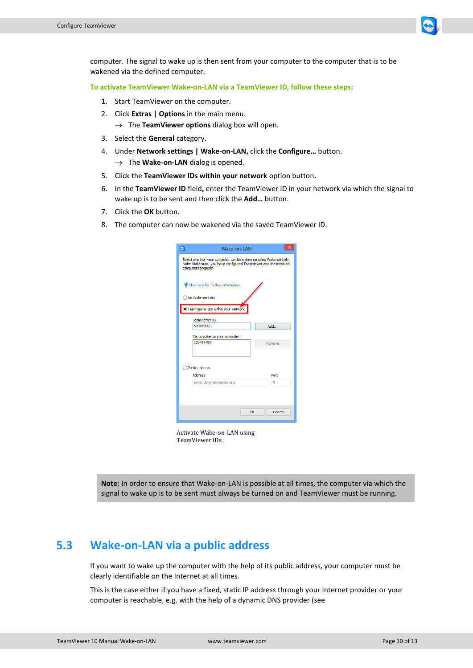

computer. The signal to wake up is then sent from your computer to the computer that is to be wakened via the defined computer.

**To activate TeamViewer Wake-on-LAN via a TeamViewer ID, follow these steps:**

- 1. Start TeamViewer on the computer.
- 2. Click **Extras | Options** in the main menu.  $\rightarrow$  The **TeamViewer options** dialog box will open.
- 3. Select the **General** category.
- 4. Under **Network settings | Wake-on-LAN,** click the **Configure…** button.  $\rightarrow$  The **Wake-on-LAN** dialog is opened.
- 5. Click the **TeamViewer IDs within your network** option button**.**
- 6. In the **TeamViewer ID** field**,** enter the TeamViewer ID in your network via which the signal to wake up is to be sent and then click the **Add…** button.
- 7. Click the **OK** button.
- 8. The computer can now be wakened via the saved TeamViewer ID.

| $\bullet$      | Wake-on-LAN                                                                                                                                                | ×            |  |  |  |  |
|----------------|------------------------------------------------------------------------------------------------------------------------------------------------------------|--------------|--|--|--|--|
|                | Select whether your computer can be woken up using Wake-on-LAN.<br>Note: Make sure, you have configured TeamViewer and the involved<br>computers properly. |              |  |  |  |  |
|                | Click here for further information.                                                                                                                        |              |  |  |  |  |
|                | No Wake-on-LAN                                                                                                                                             |              |  |  |  |  |
|                | TeamViewer IDs within your network                                                                                                                         |              |  |  |  |  |
|                | <b>TeamViewer ID</b>                                                                                                                                       |              |  |  |  |  |
|                | 987654321                                                                                                                                                  | Add          |  |  |  |  |
|                | IDs to wake up your computer                                                                                                                               |              |  |  |  |  |
|                | 123456789                                                                                                                                                  | Remove       |  |  |  |  |
|                |                                                                                                                                                            |              |  |  |  |  |
|                |                                                                                                                                                            |              |  |  |  |  |
| Public address |                                                                                                                                                            |              |  |  |  |  |
|                | Address                                                                                                                                                    | Port         |  |  |  |  |
|                | mypc.dyndnsexample.org                                                                                                                                     | ٩            |  |  |  |  |
|                |                                                                                                                                                            |              |  |  |  |  |
|                |                                                                                                                                                            |              |  |  |  |  |
|                |                                                                                                                                                            |              |  |  |  |  |
|                |                                                                                                                                                            | Cancel<br>OK |  |  |  |  |
|                |                                                                                                                                                            |              |  |  |  |  |

Activate Wake-on-LAN using TeamViewer IDs.

**Note**: In order to ensure that Wake-on-LAN is possible at all times, the computer via which the signal to wake up is to be sent must always be turned on and TeamViewer must be running.

#### <span id="page-9-0"></span>**5.3 Wake-on-LAN via a public address**

If you want to wake up the computer with the help of its public address, your computer must be clearly identifiable on the Internet at all times.

This is the case either if you have a fixed, static IP address through your Internet provider or your computer is reachable, e.g. with the help of a dynamic DNS provider (see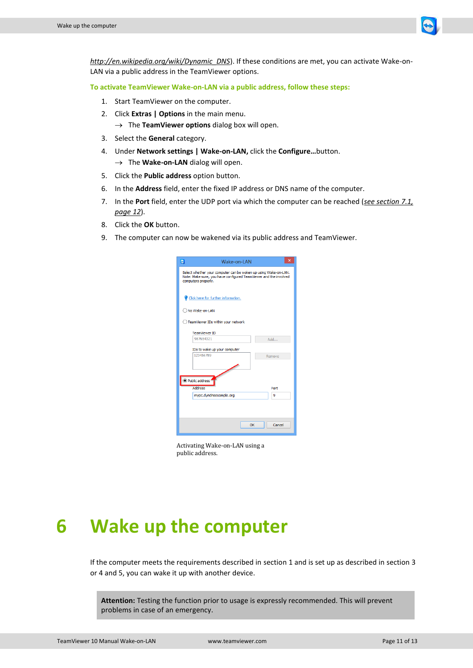

*[http://en.wikipedia.org/wiki/Dynamic\\_DNS](http://en.wikipedia.org/wiki/Dynamic_DNS)*). If these conditions are met, you can activate Wake-on-LAN via a public address in the TeamViewer options.

**To activate TeamViewer Wake-on-LAN via a public address, follow these steps:**

- 1. Start TeamViewer on the computer.
- 2. Click **Extras | Options** in the main menu.  $\rightarrow$  The **TeamViewer options** dialog box will open.
- 3. Select the **General** category.
- 4. Under **Network settings | Wake-on-LAN,** click the **Configure…**button.  $\rightarrow$  The **Wake-on-LAN** dialog will open.
- 5. Click the **Public address** option button.
- 6. In the **Address** field, enter the fixed IP address or DNS name of the computer.
- 7. In the **Port** field, enter the UDP port via which the computer can be reached (*see section [7.1,](#page-11-1) page [12](#page-11-1)*).
- 8. Click the **OK** button.
- 9. The computer can now be wakened via its public address and TeamViewer.

| Select whether your computer can be woken up using Wake-on-LAN.<br>Note: Make sure, you have configured TeamViewer and the involved<br>computers properly.<br>Click here for further information.<br>No Wake-on-LAN<br>TeamViewer IDs within your network<br><b>TeamViewer ID</b><br>987654321<br>Add<br>IDs to wake up your computer<br>123456789<br>Remove<br><sup>O</sup> Public address<br><b>Address</b><br>Port<br>mypc.dyndnsexample.org<br>٩<br>Cancel<br>OK | $\blacksquare$ | Wake-on-LAN | $\times$ |  |  |  |
|----------------------------------------------------------------------------------------------------------------------------------------------------------------------------------------------------------------------------------------------------------------------------------------------------------------------------------------------------------------------------------------------------------------------------------------------------------------------|----------------|-------------|----------|--|--|--|
|                                                                                                                                                                                                                                                                                                                                                                                                                                                                      |                |             |          |  |  |  |
|                                                                                                                                                                                                                                                                                                                                                                                                                                                                      |                |             |          |  |  |  |
|                                                                                                                                                                                                                                                                                                                                                                                                                                                                      |                |             |          |  |  |  |
|                                                                                                                                                                                                                                                                                                                                                                                                                                                                      |                |             |          |  |  |  |
|                                                                                                                                                                                                                                                                                                                                                                                                                                                                      |                |             |          |  |  |  |
|                                                                                                                                                                                                                                                                                                                                                                                                                                                                      |                |             |          |  |  |  |
|                                                                                                                                                                                                                                                                                                                                                                                                                                                                      |                |             |          |  |  |  |
|                                                                                                                                                                                                                                                                                                                                                                                                                                                                      |                |             |          |  |  |  |
|                                                                                                                                                                                                                                                                                                                                                                                                                                                                      |                |             |          |  |  |  |
|                                                                                                                                                                                                                                                                                                                                                                                                                                                                      |                |             |          |  |  |  |
|                                                                                                                                                                                                                                                                                                                                                                                                                                                                      |                |             |          |  |  |  |

Activating Wake-on-LAN using a public address.

### <span id="page-10-0"></span>**6 Wake up the computer**

If the computer meets the requirements described in sectio[n 1](#page-2-0) and is set up as described in section [3](#page-4-0) o[r 4](#page-6-0) an[d 5,](#page-7-0) you can wake it up with another device.

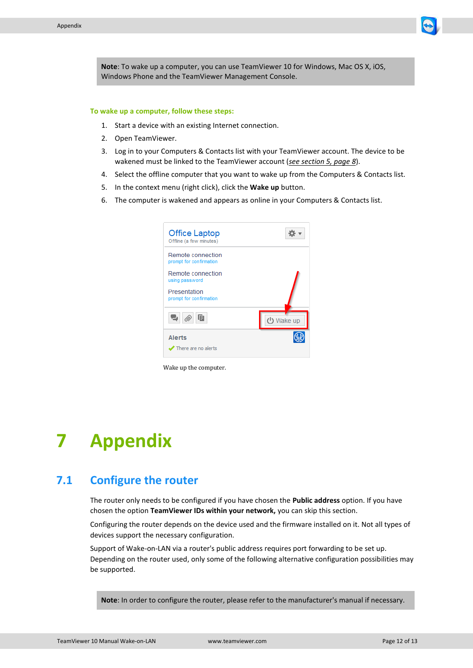

**Note**: To wake up a computer, you can use TeamViewer 10 for Windows, Mac OS X, iOS, Windows Phone and the TeamViewer Management Console.

#### **To wake up a computer, follow these steps:**

- 1. Start a device with an existing Internet connection.
- 2. Open TeamViewer.
- 3. Log in to your Computers & Contacts list with your TeamViewer account. The device to be wakened must be linked to the TeamViewer account (*see section [5,](#page-7-0) page [8](#page-7-0)*).
- 4. Select the offline computer that you want to wake up from the Computers & Contacts list.
- 5. In the context menu (right click), click the **Wake up** button.
- 6. The computer is wakened and appears as online in your Computers & Contacts list.



Wake up the computer.

### <span id="page-11-0"></span>**7 Appendix**

#### <span id="page-11-1"></span>**7.1 Configure the router**

The router only needs to be configured if you have chosen the **Public address** option. If you have chosen the option **TeamViewer IDs within your network,** you can skip this section.

Configuring the router depends on the device used and the firmware installed on it. Not all types of devices support the necessary configuration.

Support of Wake-on-LAN via a router's public address requires port forwarding to be set up. Depending on the router used, only some of the following alternative configuration possibilities may be supported.

**Note**: In order to configure the router, please refer to the manufacturer's manual if necessary.